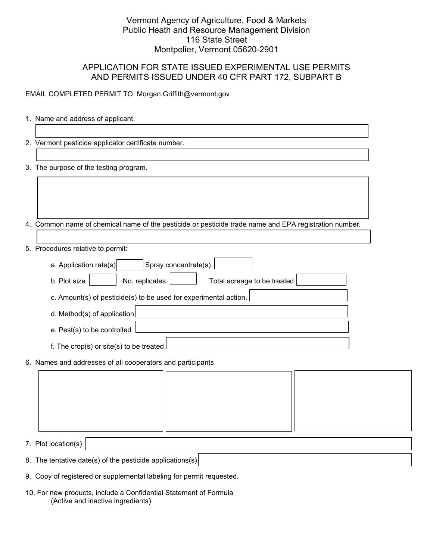## Vermont Agency of Agriculture, Food & Markets Public Heath and Resource Management Division 116 State Street Montpelier, Vermont 05620-2901

## APPLICATION FOR STATE ISSUED EXPERIMENTAL USE PERMITS AND PERMITS ISSUED UNDER 40 CFR PART 172, SUBPART B

## EMAIL COMPLETED PERMIT TO: Morgan.Griffith@vermont.gov

|  |  |  | 1. Name and address of applicant. |  |  |  |
|--|--|--|-----------------------------------|--|--|--|
|--|--|--|-----------------------------------|--|--|--|

2. Vermont pesticide applicator certificate number.

3. The purpose of the testing program.

4. Common name of chemical name of the pesticide or pesticide trade name and EPA registration number.

| 5. Procedures relative to permit:                                |
|------------------------------------------------------------------|
| Spray concentrate(s).<br>a. Application rate(s)                  |
| No. replicates<br>Total acreage to be treated<br>b. Plot size    |
| c. Amount(s) of pesticide(s) to be used for experimental action. |
| d. Method(s) of application                                      |
| e. Pest(s) to be controlled                                      |
| f. The crop(s) or site(s) to be treated                          |

## 6. Names and addresses of all cooperators and participants

7. Plot location(s)

- 8. The tentative date(s) of the pesticide applications(s)
- 9. Copy of registered or supplemental labeling for permit requested.
- 10. For new products, include a Confidential Statement of Formula (Active and inactive ingredients)